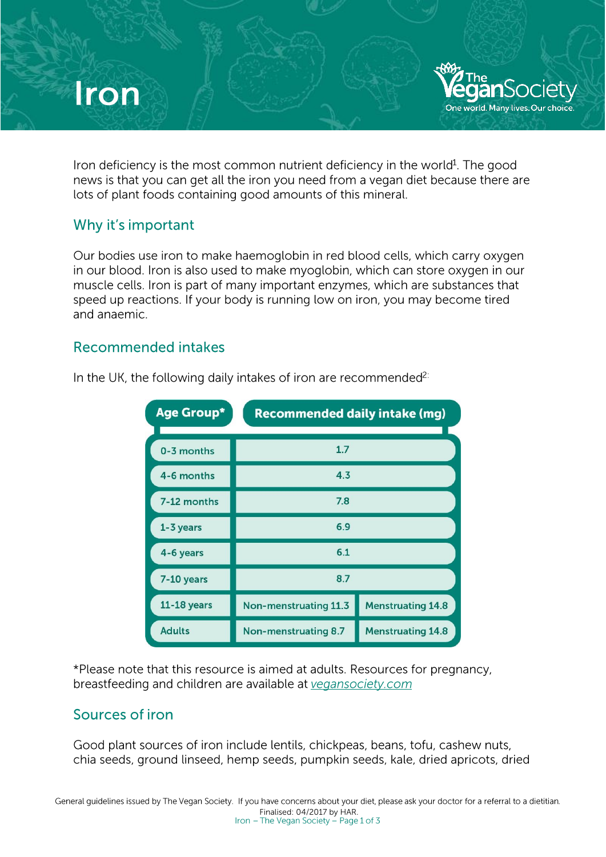# **Iron**

Iron deficiency is the most common nutrient deficiency in the world<sup>1</sup>. The good news is that you can get all the iron you need from a vegan diet because there are lots of plant foods containing good amounts of this mineral.

 $\sqrt[3]{\mathcal{A}}$  The

eganSociety One world. Many lives, Our choice

#### Why it's important

Our bodies use iron to make haemoglobin in red blood cells, which carry oxygen in our blood. Iron is also used to make myoglobin, which can store oxygen in our muscle cells. Iron is part of many important enzymes, which are substances that speed up reactions. If your body is running low on iron, you may become tired and anaemic.

#### Recommended intakes

| <b>Age Group*</b><br><b>Recommended daily intake (mg)</b> |                       |                          |
|-----------------------------------------------------------|-----------------------|--------------------------|
| 0-3 months                                                | 1.7                   |                          |
| 4-6 months                                                | 4.3                   |                          |
| 7-12 months                                               | 7.8                   |                          |
| 1-3 years                                                 | 6.9                   |                          |
| 4-6 years                                                 | 6.1                   |                          |
| 7-10 years                                                | 8.7                   |                          |
| $11-18$ years                                             | Non-menstruating 11.3 | <b>Menstruating 14.8</b> |
| <b>Adults</b>                                             | Non-menstruating 8.7  | <b>Menstruating 14.8</b> |

In the UK, the following daily intakes of iron are recommended<sup>2:</sup>

\*Please note that this resource is aimed at adults. Resources for pregnancy, breastfeeding and children are available at vegansociety.com

## Sources of iron

Good plant sources of iron include lentils, chickpeas. beans. tofu, cashew nuts. chia seeds, ground linseed, hemp seeds, pumpkin seeds, kale. dried apricots, dried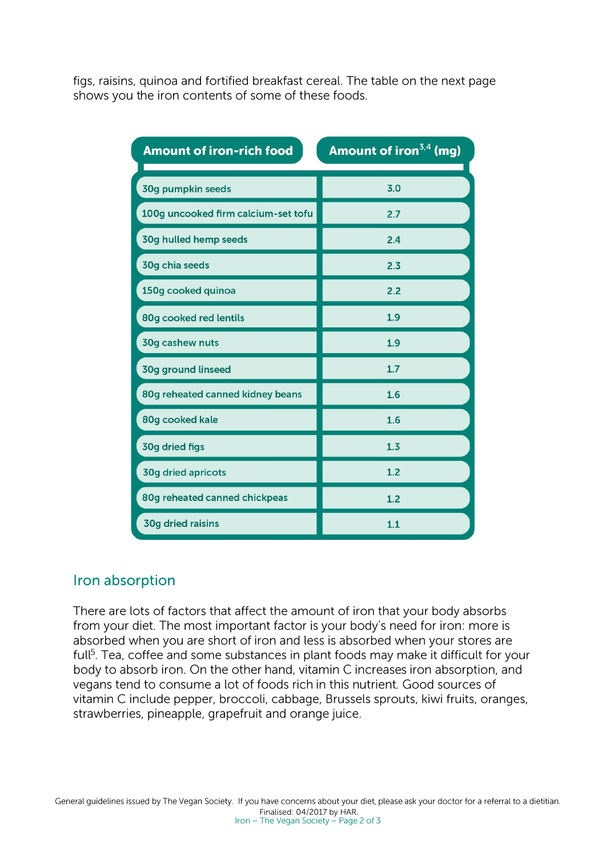figs, raisins. quinoa and fortified breakfast cereal. The table on the next page shows you the iron contents of some of these foods.

| <b>Amount of iron-rich food</b><br><b>Contract Contract Contract</b> | Amount of iron <sup>3,4</sup> (mg) |
|----------------------------------------------------------------------|------------------------------------|
| 30g pumpkin seeds                                                    | 3.0                                |
| 100g uncooked firm calcium-set tofu                                  | 2.7                                |
| 30g hulled hemp seeds                                                | 2.4                                |
| 30g chia seeds                                                       | 2.3                                |
| 150g cooked quinoa                                                   | 2.2                                |
| 80g cooked red lentils                                               | 1.9                                |
| 30g cashew nuts                                                      | 1.9                                |
| 30g ground linseed                                                   | 1.7                                |
| 80g reheated canned kidney beans                                     | 1.6                                |
| 80g cooked kale                                                      | 1.6                                |
| 30g dried figs                                                       | 1.3                                |
| <b>30g dried apricots</b>                                            | 1.2                                |
| 80g reheated canned chickpeas                                        | 1.2                                |
| <b>30g dried raisins</b>                                             | 1.1                                |

#### Iron absorption

There are lots of factors that affect the amount of iron that your body absorbs from your diet. The most important factor is your body's need for iron: more is absorbed when you are short of iron and less is absorbed when your stores are full<sup>5</sup>. Tea, coffee and some substances in plant foods may make it difficult for your body to absorb iron. On the other hand, vitamin C increases iron absorption, and vegans tend to consume a lot of foods rich in this nutrient. Good sources of vitamin C include pepper, broccoli, cabbage, Brussels sprouts, kiwi fruits, oranges, strawberries, pineapple, grapefruit and orange juice.